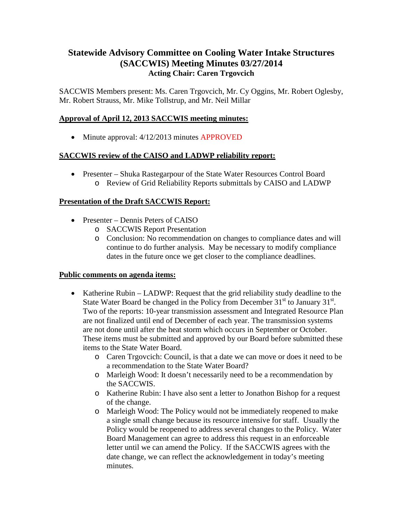# **Statewide Advisory Committee on Cooling Water Intake Structures (SACCWIS) Meeting Minutes 03/27/2014 Acting Chair: Caren Trgovcich**

SACCWIS Members present: Ms. Caren Trgovcich, Mr. Cy Oggins, Mr. Robert Oglesby, Mr. Robert Strauss, Mr. Mike Tollstrup, and Mr. Neil Millar

# **Approval of April 12, 2013 SACCWIS meeting minutes:**

• Minute approval: 4/12/2013 minutes APPROVED

### **SACCWIS review of the CAISO and LADWP reliability report:**

• Presenter – Shuka Rastegarpour of the State Water Resources Control Board o Review of Grid Reliability Reports submittals by CAISO and LADWP

# **Presentation of the Draft SACCWIS Report:**

- Presenter Dennis Peters of CAISO
	- o SACCWIS Report Presentation
	- o Conclusion: No recommendation on changes to compliance dates and will continue to do further analysis. May be necessary to modify compliance dates in the future once we get closer to the compliance deadlines.

### **Public comments on agenda items:**

- Katherine Rubin LADWP: Request that the grid reliability study deadline to the State Water Board be changed in the Policy from December  $31<sup>st</sup>$  to January  $31<sup>st</sup>$ . Two of the reports: 10-year transmission assessment and Integrated Resource Plan are not finalized until end of December of each year. The transmission systems are not done until after the heat storm which occurs in September or October. These items must be submitted and approved by our Board before submitted these items to the State Water Board.
	- o Caren Trgovcich: Council, is that a date we can move or does it need to be a recommendation to the State Water Board?
	- o Marleigh Wood: It doesn't necessarily need to be a recommendation by the SACCWIS.
	- o Katherine Rubin: I have also sent a letter to Jonathon Bishop for a request of the change.
	- o Marleigh Wood: The Policy would not be immediately reopened to make a single small change because its resource intensive for staff. Usually the Policy would be reopened to address several changes to the Policy. Water Board Management can agree to address this request in an enforceable letter until we can amend the Policy. If the SACCWIS agrees with the date change, we can reflect the acknowledgement in today's meeting minutes.